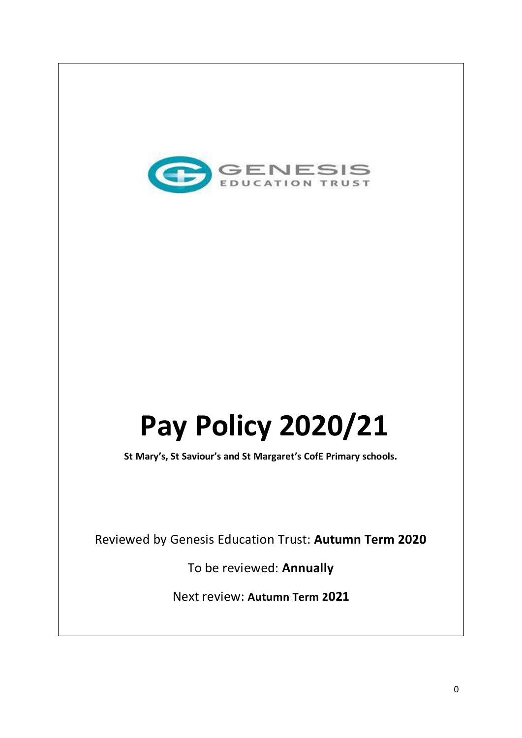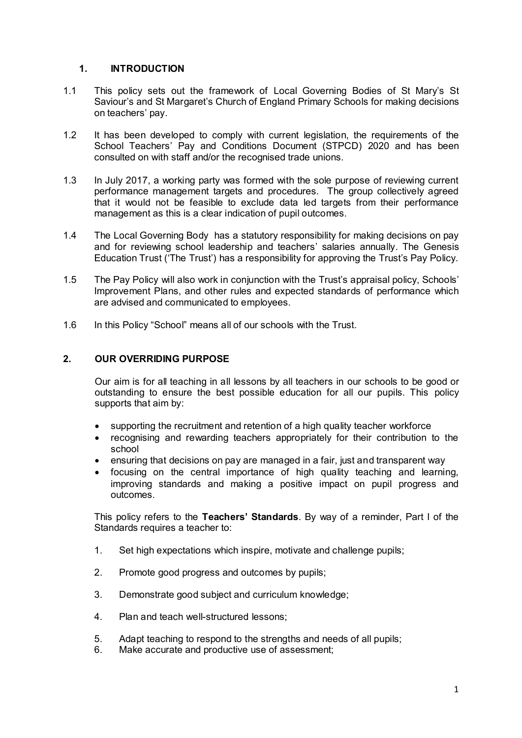#### **1. INTRODUCTION**

- 1.1 This policy sets out the framework of Local Governing Bodies of St Mary's St Saviour's and St Margaret's Church of England Primary Schools for making decisions on teachers' pay.
- 1.2 It has been developed to comply with current legislation, the requirements of the School Teachers' Pay and Conditions Document (STPCD) 2020 and has been consulted on with staff and/or the recognised trade unions.
- 1.3 In July 2017, a working party was formed with the sole purpose of reviewing current performance management targets and procedures. The group collectively agreed that it would not be feasible to exclude data led targets from their performance management as this is a clear indication of pupil outcomes.
- 1.4 The Local Governing Body has a statutory responsibility for making decisions on pay and for reviewing school leadership and teachers' salaries annually. The Genesis Education Trust ('The Trust') has a responsibility for approving the Trust's Pay Policy.
- 1.5 The Pay Policy will also work in conjunction with the Trust's appraisal policy, Schools' Improvement Plans, and other rules and expected standards of performance which are advised and communicated to employees.
- 1.6 In this Policy "School" means all of our schools with the Trust.

## **2. OUR OVERRIDING PURPOSE**

Our aim is for all teaching in all lessons by all teachers in our schools to be good or outstanding to ensure the best possible education for all our pupils. This policy supports that aim by:

- supporting the recruitment and retention of a high quality teacher workforce
- recognising and rewarding teachers appropriately for their contribution to the school
- ensuring that decisions on pay are managed in a fair, just and transparent way
- focusing on the central importance of high quality teaching and learning, improving standards and making a positive impact on pupil progress and outcomes.

This policy refers to the **Teachers' Standards**. By way of a reminder, Part I of the Standards requires a teacher to:

- 1. Set high expectations which inspire, motivate and challenge pupils;
- 2. Promote good progress and outcomes by pupils;
- 3. Demonstrate good subject and curriculum knowledge;
- 4. Plan and teach well-structured lessons;
- 5. Adapt teaching to respond to the strengths and needs of all pupils;
- 6. Make accurate and productive use of assessment;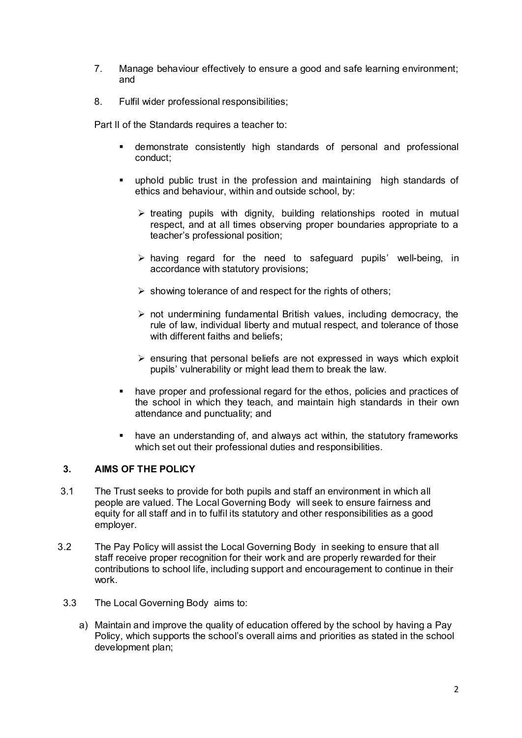- 7. Manage behaviour effectively to ensure a good and safe learning environment; and
- 8. Fulfil wider professional responsibilities;

Part II of the Standards requires a teacher to:

- demonstrate consistently high standards of personal and professional conduct;
- uphold public trust in the profession and maintaining high standards of ethics and behaviour, within and outside school, by:
	- $\triangleright$  treating pupils with dignity, building relationships rooted in mutual respect, and at all times observing proper boundaries appropriate to a teacher's professional position;
	- $\triangleright$  having regard for the need to safeguard pupils' well-being, in accordance with statutory provisions;
	- $\triangleright$  showing tolerance of and respect for the rights of others;
	- $\triangleright$  not undermining fundamental British values, including democracy, the rule of law, individual liberty and mutual respect, and tolerance of those with different faiths and beliefs:
	- $\triangleright$  ensuring that personal beliefs are not expressed in ways which exploit pupils' vulnerability or might lead them to break the law.
- have proper and professional regard for the ethos, policies and practices of the school in which they teach, and maintain high standards in their own attendance and punctuality; and
- have an understanding of, and always act within, the statutory frameworks which set out their professional duties and responsibilities.

## **3. AIMS OF THE POLICY**

- 3.1 The Trust seeks to provide for both pupils and staff an environment in which all people are valued. The Local Governing Body will seek to ensure fairness and equity for all staff and in to fulfil its statutory and other responsibilities as a good employer.
- 3.2 The Pay Policy will assist the Local Governing Body in seeking to ensure that all staff receive proper recognition for their work and are properly rewarded for their contributions to school life, including support and encouragement to continue in their work.
	- 3.3 The Local Governing Body aims to:
		- a) Maintain and improve the quality of education offered by the school by having a Pay Policy, which supports the school's overall aims and priorities as stated in the school development plan;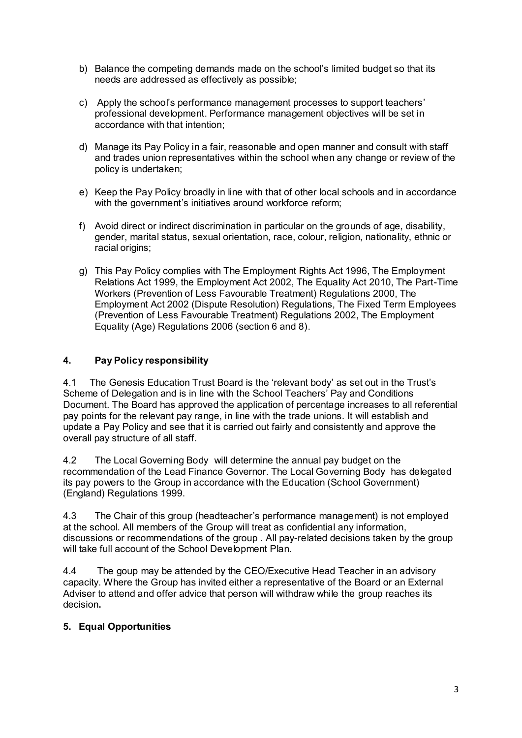- b) Balance the competing demands made on the school's limited budget so that its needs are addressed as effectively as possible;
- c) Apply the school's performance management processes to support teachers' professional development. Performance management objectives will be set in accordance with that intention;
- d) Manage its Pay Policy in a fair, reasonable and open manner and consult with staff and trades union representatives within the school when any change or review of the policy is undertaken;
- e) Keep the Pay Policy broadly in line with that of other local schools and in accordance with the government's initiatives around workforce reform;
- f) Avoid direct or indirect discrimination in particular on the grounds of age, disability, gender, marital status, sexual orientation, race, colour, religion, nationality, ethnic or racial origins;
- g) This Pay Policy complies with The Employment Rights Act 1996, The Employment Relations Act 1999, the Employment Act 2002, The Equality Act 2010, The Part-Time Workers (Prevention of Less Favourable Treatment) Regulations 2000, The Employment Act 2002 (Dispute Resolution) Regulations, The Fixed Term Employees (Prevention of Less Favourable Treatment) Regulations 2002, The Employment Equality (Age) Regulations 2006 (section 6 and 8).

## **4. Pay Policy responsibility**

4.1 The Genesis Education Trust Board is the 'relevant body' as set out in the Trust's Scheme of Delegation and is in line with the School Teachers' Pay and Conditions Document. The Board has approved the application of percentage increases to all referential pay points for the relevant pay range, in line with the trade unions. It will establish and update a Pay Policy and see that it is carried out fairly and consistently and approve the overall pay structure of all staff.

4.2 The Local Governing Body will determine the annual pay budget on the recommendation of the Lead Finance Governor. The Local Governing Body has delegated its pay powers to the Group in accordance with the Education (School Government) (England) Regulations 1999.

4.3 The Chair of this group (headteacher's performance management) is not employed at the school. All members of the Group will treat as confidential any information, discussions or recommendations of the group . All pay-related decisions taken by the group will take full account of the School Development Plan.

4.4 The goup may be attended by the CEO/Executive Head Teacher in an advisory capacity. Where the Group has invited either a representative of the Board or an External Adviser to attend and offer advice that person will withdraw while the group reaches its decision**.** 

#### **5. Equal Opportunities**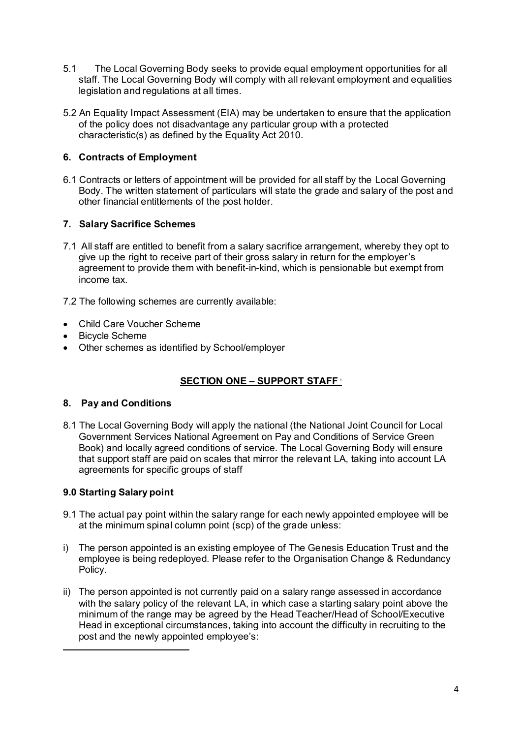- 5.1 The Local Governing Body seeks to provide equal employment opportunities for all staff. The Local Governing Body will comply with all relevant employment and equalities legislation and regulations at all times.
- 5.2 An Equality Impact Assessment (EIA) may be undertaken to ensure that the application of the policy does not disadvantage any particular group with a protected characteristic(s) as defined by the Equality Act 2010.

### **6. Contracts of Employment**

6.1 Contracts or letters of appointment will be provided for all staff by the Local Governing Body. The written statement of particulars will state the grade and salary of the post and other financial entitlements of the post holder.

## **7. Salary Sacrifice Schemes**

7.1 All staff are entitled to benefit from a salary sacrifice arrangement, whereby they opt to give up the right to receive part of their gross salary in return for the employer's agreement to provide them with benefit-in-kind, which is pensionable but exempt from income tax.

7.2 The following schemes are currently available:

- Child Care Voucher Scheme
- Bicycle Scheme
- Other schemes as identified by School/employer

## **SECTION ONE – SUPPORT STAFF** <sup>1</sup>

#### **8. Pay and Conditions**

8.1 The Local Governing Body will apply the national (the National Joint Council for Local Government Services National Agreement on Pay and Conditions of Service Green Book) and locally agreed conditions of service. The Local Governing Body will ensure that support staff are paid on scales that mirror the relevant LA, taking into account LA agreements for specific groups of staff

## **9.0 Starting Salary point**

.

- 9.1 The actual pay point within the salary range for each newly appointed employee will be at the minimum spinal column point (scp) of the grade unless:
- i) The person appointed is an existing employee of The Genesis Education Trust and the employee is being redeployed. Please refer to the Organisation Change & Redundancy Policy.
- ii) The person appointed is not currently paid on a salary range assessed in accordance with the salary policy of the relevant LA, in which case a starting salary point above the minimum of the range may be agreed by the Head Teacher/Head of School/Executive Head in exceptional circumstances, taking into account the difficulty in recruiting to the post and the newly appointed employee's: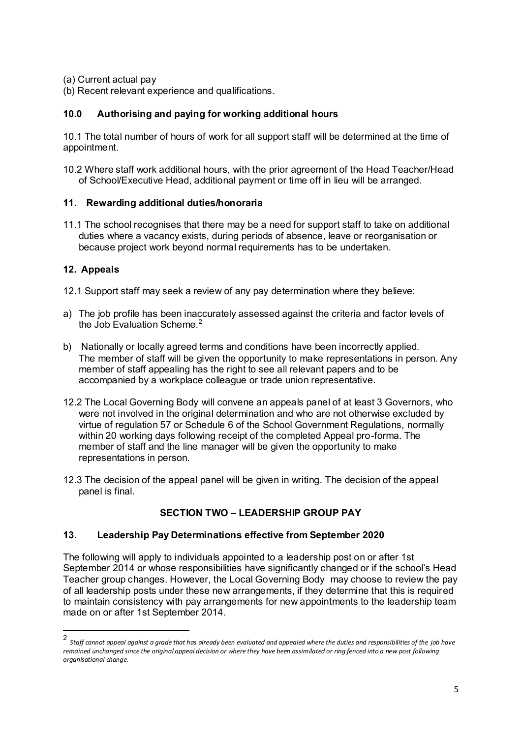- (a) Current actual pay
- (b) Recent relevant experience and qualifications.

### **10.0 Authorising and paying for working additional hours**

10.1 The total number of hours of work for all support staff will be determined at the time of appointment.

10.2 Where staff work additional hours, with the prior agreement of the Head Teacher/Head of School/Executive Head, additional payment or time off in lieu will be arranged.

#### **11. Rewarding additional duties/honoraria**

11.1 The school recognises that there may be a need for support staff to take on additional duties where a vacancy exists, during periods of absence, leave or reorganisation or because project work beyond normal requirements has to be undertaken.

## **12. Appeals**

.

- 12.1 Support staff may seek a review of any pay determination where they believe:
- a) The job profile has been inaccurately assessed against the criteria and factor levels of the Job Evaluation Scheme. $2$
- b) Nationally or locally agreed terms and conditions have been incorrectly applied. The member of staff will be given the opportunity to make representations in person. Any member of staff appealing has the right to see all relevant papers and to be accompanied by a workplace colleague or trade union representative.
- 12.2 The Local Governing Body will convene an appeals panel of at least 3 Governors, who were not involved in the original determination and who are not otherwise excluded by virtue of regulation 57 or Schedule 6 of the School Government Regulations, normally within 20 working days following receipt of the completed Appeal pro-forma. The member of staff and the line manager will be given the opportunity to make representations in person.
- 12.3 The decision of the appeal panel will be given in writing. The decision of the appeal panel is final.

# **SECTION TWO – LEADERSHIP GROUP PAY**

## **13. Leadership Pay Determinations effective from September 2020**

The following will apply to individuals appointed to a leadership post on or after 1st September 2014 or whose responsibilities have significantly changed or if the school's Head Teacher group changes. However, the Local Governing Body may choose to review the pay of all leadership posts under these new arrangements, if they determine that this is required to maintain consistency with pay arrangements for new appointments to the leadership team made on or after 1st September 2014.

<sup>2</sup> *Staff cannot appeal against a grade that has already been evaluated and appealed where the duties and responsibilities of the job have remained unchanged since the original appeal decision or where they have been assimilated or ring fenced into a new post following organisational change*.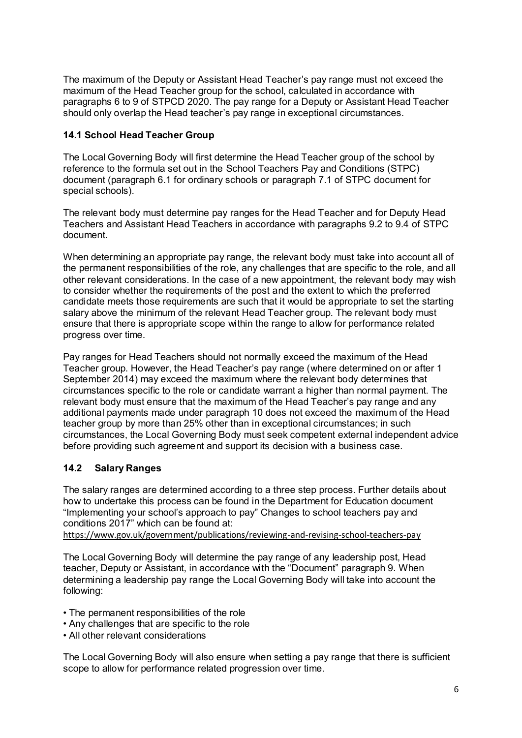The maximum of the Deputy or Assistant Head Teacher's pay range must not exceed the maximum of the Head Teacher group for the school, calculated in accordance with paragraphs 6 to 9 of STPCD 2020. The pay range for a Deputy or Assistant Head Teacher should only overlap the Head teacher's pay range in exceptional circumstances.

### **14.1 School Head Teacher Group**

The Local Governing Body will first determine the Head Teacher group of the school by reference to the formula set out in the School Teachers Pay and Conditions (STPC) document (paragraph 6.1 for ordinary schools or paragraph 7.1 of STPC document for special schools).

The relevant body must determine pay ranges for the Head Teacher and for Deputy Head Teachers and Assistant Head Teachers in accordance with paragraphs 9.2 to 9.4 of STPC document.

When determining an appropriate pay range, the relevant body must take into account all of the permanent responsibilities of the role, any challenges that are specific to the role, and all other relevant considerations. In the case of a new appointment, the relevant body may wish to consider whether the requirements of the post and the extent to which the preferred candidate meets those requirements are such that it would be appropriate to set the starting salary above the minimum of the relevant Head Teacher group. The relevant body must ensure that there is appropriate scope within the range to allow for performance related progress over time.

Pay ranges for Head Teachers should not normally exceed the maximum of the Head Teacher group. However, the Head Teacher's pay range (where determined on or after 1 September 2014) may exceed the maximum where the relevant body determines that circumstances specific to the role or candidate warrant a higher than normal payment. The relevant body must ensure that the maximum of the Head Teacher's pay range and any additional payments made under paragraph 10 does not exceed the maximum of the Head teacher group by more than 25% other than in exceptional circumstances; in such circumstances, the Local Governing Body must seek competent external independent advice before providing such agreement and support its decision with a business case.

## **14.2 Salary Ranges**

The salary ranges are determined according to a three step process. Further details about how to undertake this process can be found in the Department for Education document "Implementing your school's approach to pay" Changes to school teachers pay and conditions 2017" which can be found at:

https://www.gov.uk/government/publications/reviewing-and-revising-school-teachers-pay

The Local Governing Body will determine the pay range of any leadership post, Head teacher, Deputy or Assistant, in accordance with the "Document" paragraph 9. When determining a leadership pay range the Local Governing Body will take into account the following:

- The permanent responsibilities of the role
- Any challenges that are specific to the role
- All other relevant considerations

The Local Governing Body will also ensure when setting a pay range that there is sufficient scope to allow for performance related progression over time.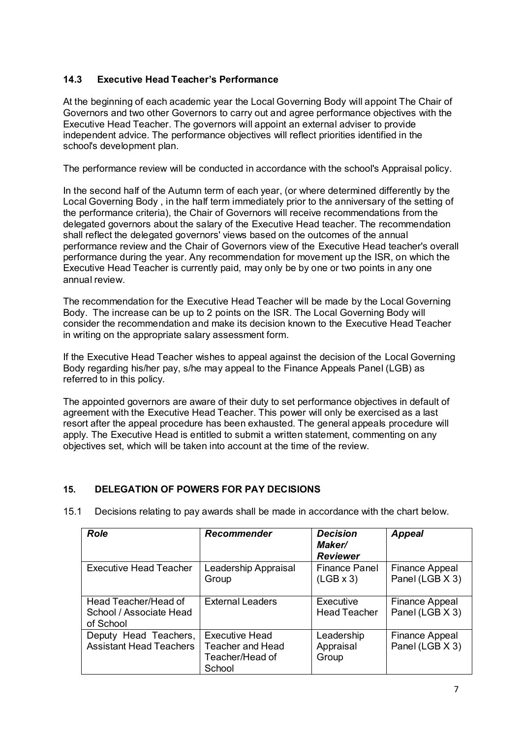## **14.3 Executive Head Teacher's Performance**

At the beginning of each academic year the Local Governing Body will appoint The Chair of Governors and two other Governors to carry out and agree performance objectives with the Executive Head Teacher. The governors will appoint an external adviser to provide independent advice. The performance objectives will reflect priorities identified in the school's development plan.

The performance review will be conducted in accordance with the school's Appraisal policy.

In the second half of the Autumn term of each year, (or where determined differently by the Local Governing Body , in the half term immediately prior to the anniversary of the setting of the performance criteria), the Chair of Governors will receive recommendations from the delegated governors about the salary of the Executive Head teacher. The recommendation shall reflect the delegated governors' views based on the outcomes of the annual performance review and the Chair of Governors view of the Executive Head teacher's overall performance during the year. Any recommendation for movement up the ISR, on which the Executive Head Teacher is currently paid, may only be by one or two points in any one annual review.

The recommendation for the Executive Head Teacher will be made by the Local Governing Body. The increase can be up to 2 points on the ISR. The Local Governing Body will consider the recommendation and make its decision known to the Executive Head Teacher in writing on the appropriate salary assessment form.

If the Executive Head Teacher wishes to appeal against the decision of the Local Governing Body regarding his/her pay, s/he may appeal to the Finance Appeals Panel (LGB) as referred to in this policy.

The appointed governors are aware of their duty to set performance objectives in default of agreement with the Executive Head Teacher. This power will only be exercised as a last resort after the appeal procedure has been exhausted. The general appeals procedure will apply. The Executive Head is entitled to submit a written statement, commenting on any objectives set, which will be taken into account at the time of the review.

## **15. DELEGATION OF POWERS FOR PAY DECISIONS**

| <b>Role</b>                                                  | <b>Recommender</b>                                                     | <b>Decision</b><br>Maker/<br><b>Reviewer</b> | <b>Appeal</b>                            |
|--------------------------------------------------------------|------------------------------------------------------------------------|----------------------------------------------|------------------------------------------|
| <b>Executive Head Teacher</b>                                | Leadership Appraisal<br>Group                                          | <b>Finance Panel</b><br>$(LGB \times 3)$     | <b>Finance Appeal</b><br>Panel (LGB X 3) |
| Head Teacher/Head of<br>School / Associate Head<br>of School | <b>External Leaders</b>                                                | Executive<br><b>Head Teacher</b>             | Finance Appeal<br>Panel (LGB X 3)        |
| Deputy Head Teachers,<br><b>Assistant Head Teachers</b>      | <b>Executive Head</b><br>Teacher and Head<br>Teacher/Head of<br>School | Leadership<br>Appraisal<br>Group             | Finance Appeal<br>Panel (LGB X 3)        |

15.1 Decisions relating to pay awards shall be made in accordance with the chart below.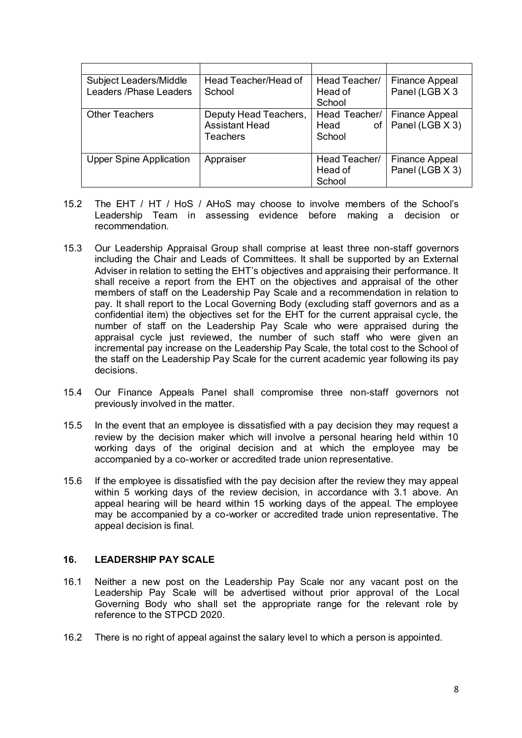| Subject Leaders/Middle         | Head Teacher/Head of                                       | Head Teacher/                           | <b>Finance Appeal</b>                    |
|--------------------------------|------------------------------------------------------------|-----------------------------------------|------------------------------------------|
| Leaders /Phase Leaders         | School                                                     | Head of                                 | Panel (LGB X 3                           |
|                                |                                                            | School                                  |                                          |
| <b>Other Teachers</b>          | Deputy Head Teachers,<br><b>Assistant Head</b><br>Teachers | Head Teacher/<br>Head<br>of I<br>School | Finance Appeal<br>Panel (LGB X 3)        |
| <b>Upper Spine Application</b> | Appraiser                                                  | Head Teacher/<br>Head of<br>School      | <b>Finance Appeal</b><br>Panel (LGB X 3) |

- 15.2 The EHT / HT / HoS / AHoS may choose to involve members of the School's Leadership Team in assessing evidence before making a decision or recommendation.
- 15.3 Our Leadership Appraisal Group shall comprise at least three non-staff governors including the Chair and Leads of Committees. It shall be supported by an External Adviser in relation to setting the EHT's objectives and appraising their performance. It shall receive a report from the EHT on the objectives and appraisal of the other members of staff on the Leadership Pay Scale and a recommendation in relation to pay. It shall report to the Local Governing Body (excluding staff governors and as a confidential item) the objectives set for the EHT for the current appraisal cycle, the number of staff on the Leadership Pay Scale who were appraised during the appraisal cycle just reviewed, the number of such staff who were given an incremental pay increase on the Leadership Pay Scale, the total cost to the School of the staff on the Leadership Pay Scale for the current academic year following its pay decisions.
- 15.4 Our Finance Appeals Panel shall compromise three non-staff governors not previously involved in the matter.
- 15.5 In the event that an employee is dissatisfied with a pay decision they may request a review by the decision maker which will involve a personal hearing held within 10 working days of the original decision and at which the employee may be accompanied by a co-worker or accredited trade union representative.
- 15.6 If the employee is dissatisfied with the pay decision after the review they may appeal within 5 working days of the review decision, in accordance with 3.1 above. An appeal hearing will be heard within 15 working days of the appeal. The employee may be accompanied by a co-worker or accredited trade union representative. The appeal decision is final.

#### **16. LEADERSHIP PAY SCALE**

- 16.1 Neither a new post on the Leadership Pay Scale nor any vacant post on the Leadership Pay Scale will be advertised without prior approval of the Local Governing Body who shall set the appropriate range for the relevant role by reference to the STPCD 2020.
- 16.2 There is no right of appeal against the salary level to which a person is appointed.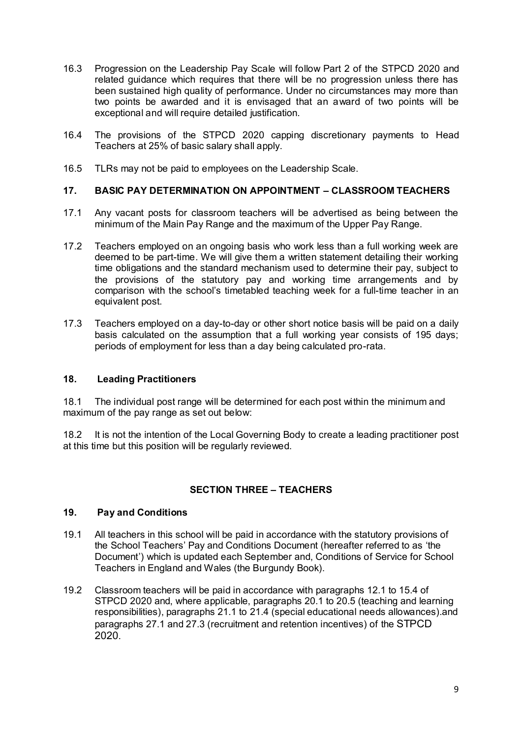- 16.3 Progression on the Leadership Pay Scale will follow Part 2 of the STPCD 2020 and related guidance which requires that there will be no progression unless there has been sustained high quality of performance. Under no circumstances may more than two points be awarded and it is envisaged that an award of two points will be exceptional and will require detailed justification.
- 16.4 The provisions of the STPCD 2020 capping discretionary payments to Head Teachers at 25% of basic salary shall apply.
- 16.5 TLRs may not be paid to employees on the Leadership Scale.

#### **17. BASIC PAY DETERMINATION ON APPOINTMENT – CLASSROOM TEACHERS**

- 17.1 Any vacant posts for classroom teachers will be advertised as being between the minimum of the Main Pay Range and the maximum of the Upper Pay Range.
- 17.2 Teachers employed on an ongoing basis who work less than a full working week are deemed to be part-time. We will give them a written statement detailing their working time obligations and the standard mechanism used to determine their pay, subject to the provisions of the statutory pay and working time arrangements and by comparison with the school's timetabled teaching week for a full-time teacher in an equivalent post.
- 17.3 Teachers employed on a day-to-day or other short notice basis will be paid on a daily basis calculated on the assumption that a full working year consists of 195 days; periods of employment for less than a day being calculated pro-rata.

#### **18. Leading Practitioners**

18.1 The individual post range will be determined for each post within the minimum and maximum of the pay range as set out below:

18.2 It is not the intention of the Local Governing Body to create a leading practitioner post at this time but this position will be regularly reviewed.

## **SECTION THREE – TEACHERS**

#### **19. Pay and Conditions**

- 19.1 All teachers in this school will be paid in accordance with the statutory provisions of the School Teachers' Pay and Conditions Document (hereafter referred to as 'the Document') which is updated each September and, Conditions of Service for School Teachers in England and Wales (the Burgundy Book).
- 19.2 Classroom teachers will be paid in accordance with paragraphs 12.1 to 15.4 of STPCD 2020 and, where applicable, paragraphs 20.1 to 20.5 (teaching and learning responsibilities), paragraphs 21.1 to 21.4 (special educational needs allowances).and paragraphs 27.1 and 27.3 (recruitment and retention incentives) of the STPCD 2020.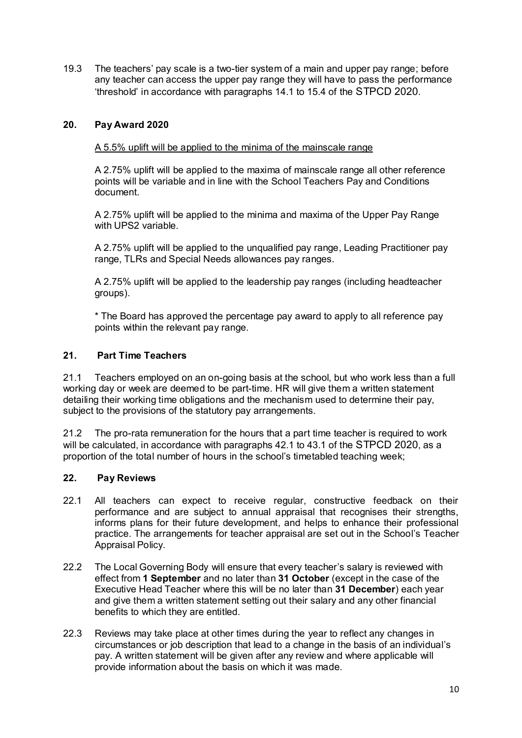19.3 The teachers' pay scale is a two-tier system of a main and upper pay range; before any teacher can access the upper pay range they will have to pass the performance 'threshold' in accordance with paragraphs 14.1 to 15.4 of the STPCD 2020.

# **20. Pay Award 2020**

### A 5.5% uplift will be applied to the minima of the mainscale range

A 2.75% uplift will be applied to the maxima of mainscale range all other reference points will be variable and in line with the School Teachers Pay and Conditions document.

A 2.75% uplift will be applied to the minima and maxima of the Upper Pay Range with UPS2 variable.

 A 2.75% uplift will be applied to the unqualified pay range, Leading Practitioner pay range, TLRs and Special Needs allowances pay ranges.

A 2.75% uplift will be applied to the leadership pay ranges (including headteacher groups).

\* The Board has approved the percentage pay award to apply to all reference pay points within the relevant pay range.

#### **21. Part Time Teachers**

21.1 Teachers employed on an on-going basis at the school, but who work less than a full working day or week are deemed to be part-time. HR will give them a written statement detailing their working time obligations and the mechanism used to determine their pay, subject to the provisions of the statutory pay arrangements.

21.2 The pro-rata remuneration for the hours that a part time teacher is required to work will be calculated, in accordance with paragraphs 42.1 to 43.1 of the STPCD 2020, as a proportion of the total number of hours in the school's timetabled teaching week;

#### **22. Pay Reviews**

- 22.1 All teachers can expect to receive regular, constructive feedback on their performance and are subject to annual appraisal that recognises their strengths, informs plans for their future development, and helps to enhance their professional practice. The arrangements for teacher appraisal are set out in the School's Teacher Appraisal Policy.
- 22.2 The Local Governing Body will ensure that every teacher's salary is reviewed with effect from **1 September** and no later than **31 October** (except in the case of the Executive Head Teacher where this will be no later than **31 December**) each year and give them a written statement setting out their salary and any other financial benefits to which they are entitled.
- 22.3 Reviews may take place at other times during the year to reflect any changes in circumstances or job description that lead to a change in the basis of an individual's pay. A written statement will be given after any review and where applicable will provide information about the basis on which it was made.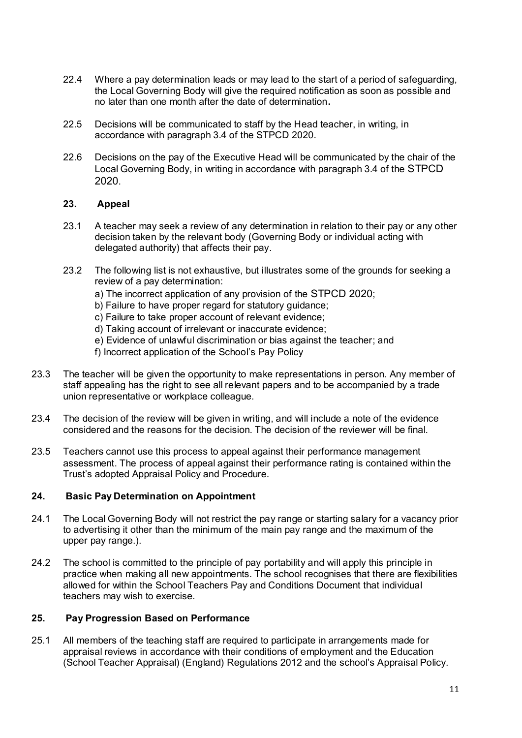- 22.4 Where a pay determination leads or may lead to the start of a period of safeguarding, the Local Governing Body will give the required notification as soon as possible and no later than one month after the date of determination**.**
- 22.5 Decisions will be communicated to staff by the Head teacher, in writing, in accordance with paragraph 3.4 of the STPCD 2020.
- 22.6 Decisions on the pay of the Executive Head will be communicated by the chair of the Local Governing Body, in writing in accordance with paragraph 3.4 of the STPCD 2020.

#### **23. Appeal**

- 23.1 A teacher may seek a review of any determination in relation to their pay or any other decision taken by the relevant body (Governing Body or individual acting with delegated authority) that affects their pay.
- 23.2 The following list is not exhaustive, but illustrates some of the grounds for seeking a review of a pay determination:
	- a) The incorrect application of any provision of the STPCD 2020;
	- b) Failure to have proper regard for statutory guidance;
	- c) Failure to take proper account of relevant evidence;
	- d) Taking account of irrelevant or inaccurate evidence;
	- e) Evidence of unlawful discrimination or bias against the teacher; and
	- f) Incorrect application of the School's Pay Policy
- 23.3 The teacher will be given the opportunity to make representations in person. Any member of staff appealing has the right to see all relevant papers and to be accompanied by a trade union representative or workplace colleague.
- 23.4 The decision of the review will be given in writing, and will include a note of the evidence considered and the reasons for the decision. The decision of the reviewer will be final.
- 23.5 Teachers cannot use this process to appeal against their performance management assessment. The process of appeal against their performance rating is contained within the Trust's adopted Appraisal Policy and Procedure.

## **24. Basic Pay Determination on Appointment**

- 24.1 The Local Governing Body will not restrict the pay range or starting salary for a vacancy prior to advertising it other than the minimum of the main pay range and the maximum of the upper pay range.).
- 24.2 The school is committed to the principle of pay portability and will apply this principle in practice when making all new appointments. The school recognises that there are flexibilities allowed for within the School Teachers Pay and Conditions Document that individual teachers may wish to exercise.

## **25. Pay Progression Based on Performance**

25.1 All members of the teaching staff are required to participate in arrangements made for appraisal reviews in accordance with their conditions of employment and the Education (School Teacher Appraisal) (England) Regulations 2012 and the school's Appraisal Policy.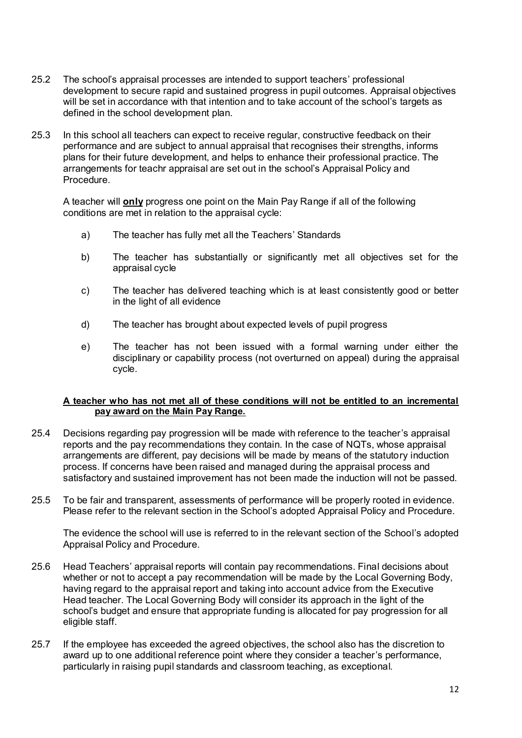- 25.2 The school's appraisal processes are intended to support teachers' professional development to secure rapid and sustained progress in pupil outcomes. Appraisal objectives will be set in accordance with that intention and to take account of the school's targets as defined in the school development plan.
- 25.3 In this school all teachers can expect to receive regular, constructive feedback on their performance and are subject to annual appraisal that recognises their strengths, informs plans for their future development, and helps to enhance their professional practice. The arrangements for teachr appraisal are set out in the school's Appraisal Policy and Procedure.

A teacher will **only** progress one point on the Main Pay Range if all of the following conditions are met in relation to the appraisal cycle:

- a) The teacher has fully met all the Teachers' Standards
- b) The teacher has substantially or significantly met all objectives set for the appraisal cycle
- c) The teacher has delivered teaching which is at least consistently good or better in the light of all evidence
- d) The teacher has brought about expected levels of pupil progress
- e) The teacher has not been issued with a formal warning under either the disciplinary or capability process (not overturned on appeal) during the appraisal cycle.

#### **A teacher who has not met all of these conditions will not be entitled to an incremental pay award on the Main Pay Range.**

- 25.4 Decisions regarding pay progression will be made with reference to the teacher's appraisal reports and the pay recommendations they contain. In the case of NQTs, whose appraisal arrangements are different, pay decisions will be made by means of the statutory induction process. If concerns have been raised and managed during the appraisal process and satisfactory and sustained improvement has not been made the induction will not be passed.
- 25.5 To be fair and transparent, assessments of performance will be properly rooted in evidence. Please refer to the relevant section in the School's adopted Appraisal Policy and Procedure.

The evidence the school will use is referred to in the relevant section of the School's adopted Appraisal Policy and Procedure.

- 25.6 Head Teachers' appraisal reports will contain pay recommendations. Final decisions about whether or not to accept a pay recommendation will be made by the Local Governing Body, having regard to the appraisal report and taking into account advice from the Executive Head teacher. The Local Governing Body will consider its approach in the light of the school's budget and ensure that appropriate funding is allocated for pay progression for all eligible staff.
- 25.7 If the employee has exceeded the agreed objectives, the school also has the discretion to award up to one additional reference point where they consider a teacher's performance, particularly in raising pupil standards and classroom teaching, as exceptional.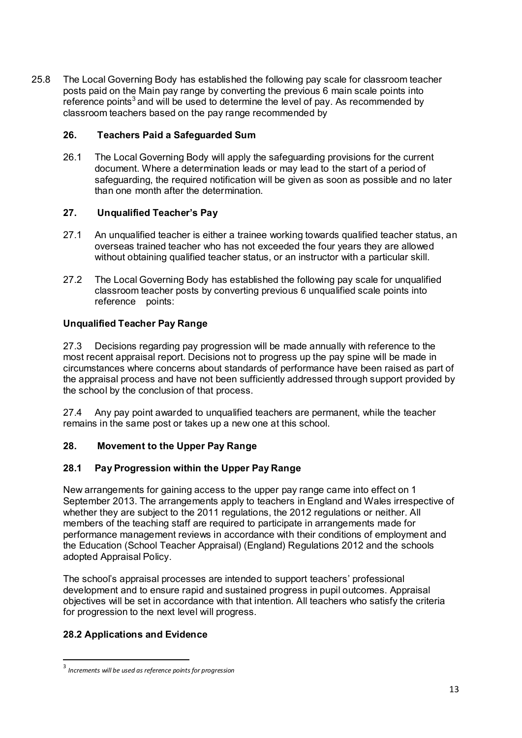25.8 The Local Governing Body has established the following pay scale for classroom teacher posts paid on the Main pay range by converting the previous 6 main scale points into reference points<sup>3</sup> and will be used to determine the level of pay. As recommended by classroom teachers based on the pay range recommended by

### **26. Teachers Paid a Safeguarded Sum**

26.1 The Local Governing Body will apply the safeguarding provisions for the current document. Where a determination leads or may lead to the start of a period of safeguarding, the required notification will be given as soon as possible and no later than one month after the determination.

## **27. Unqualified Teacher's Pay**

- 27.1 An unqualified teacher is either a trainee working towards qualified teacher status, an overseas trained teacher who has not exceeded the four years they are allowed without obtaining qualified teacher status, or an instructor with a particular skill.
- 27.2 The Local Governing Body has established the following pay scale for unqualified classroom teacher posts by converting previous 6 unqualified scale points into reference points:

## **Unqualified Teacher Pay Range**

27.3 Decisions regarding pay progression will be made annually with reference to the most recent appraisal report. Decisions not to progress up the pay spine will be made in circumstances where concerns about standards of performance have been raised as part of the appraisal process and have not been sufficiently addressed through support provided by the school by the conclusion of that process.

27.4 Any pay point awarded to unqualified teachers are permanent, while the teacher remains in the same post or takes up a new one at this school.

## **28. Movement to the Upper Pay Range**

#### **28.1 Pay Progression within the Upper Pay Range**

New arrangements for gaining access to the upper pay range came into effect on 1 September 2013. The arrangements apply to teachers in England and Wales irrespective of whether they are subject to the 2011 regulations, the 2012 regulations or neither. All members of the teaching staff are required to participate in arrangements made for performance management reviews in accordance with their conditions of employment and the Education (School Teacher Appraisal) (England) Regulations 2012 and the schools adopted Appraisal Policy.

The school's appraisal processes are intended to support teachers' professional development and to ensure rapid and sustained progress in pupil outcomes. Appraisal objectives will be set in accordance with that intention. All teachers who satisfy the criteria for progression to the next level will progress.

## **28.2 Applications and Evidence**

 3 *Increments will be used as reference points for progression*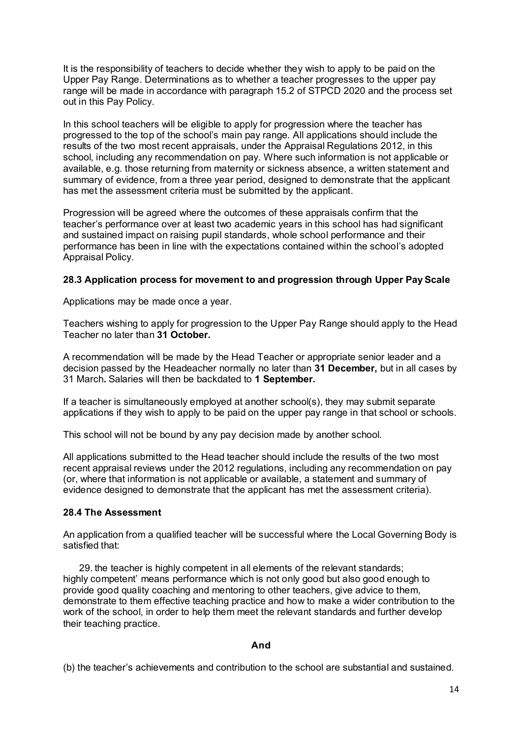It is the responsibility of teachers to decide whether they wish to apply to be paid on the Upper Pay Range. Determinations as to whether a teacher progresses to the upper pay range will be made in accordance with paragraph 15.2 of STPCD 2020 and the process set out in this Pay Policy.

In this school teachers will be eligible to apply for progression where the teacher has progressed to the top of the school's main pay range. All applications should include the results of the two most recent appraisals, under the Appraisal Regulations 2012, in this school, including any recommendation on pay. Where such information is not applicable or available, e.g. those returning from maternity or sickness absence, a written statement and summary of evidence, from a three year period, designed to demonstrate that the applicant has met the assessment criteria must be submitted by the applicant.

Progression will be agreed where the outcomes of these appraisals confirm that the teacher's performance over at least two academic years in this school has had significant and sustained impact on raising pupil standards, whole school performance and their performance has been in line with the expectations contained within the school's adopted Appraisal Policy.

#### **28.3 Application process for movement to and progression through Upper Pay Scale**

Applications may be made once a year.

Teachers wishing to apply for progression to the Upper Pay Range should apply to the Head Teacher no later than **31 October.** 

A recommendation will be made by the Head Teacher or appropriate senior leader and a decision passed by the Headeacher normally no later than **31 December,** but in all cases by 31 March**.** Salaries will then be backdated to **1 September.** 

If a teacher is simultaneously employed at another school(s), they may submit separate applications if they wish to apply to be paid on the upper pay range in that school or schools.

This school will not be bound by any pay decision made by another school.

All applications submitted to the Head teacher should include the results of the two most recent appraisal reviews under the 2012 regulations, including any recommendation on pay (or, where that information is not applicable or available, a statement and summary of evidence designed to demonstrate that the applicant has met the assessment criteria).

#### **28.4 The Assessment**

An application from a qualified teacher will be successful where the Local Governing Body is satisfied that:

29. the teacher is highly competent in all elements of the relevant standards; highly competent' means performance which is not only good but also good enough to provide good quality coaching and mentoring to other teachers, give advice to them, demonstrate to them effective teaching practice and how to make a wider contribution to the work of the school, in order to help them meet the relevant standards and further develop their teaching practice.

#### **And**

(b) the teacher's achievements and contribution to the school are substantial and sustained.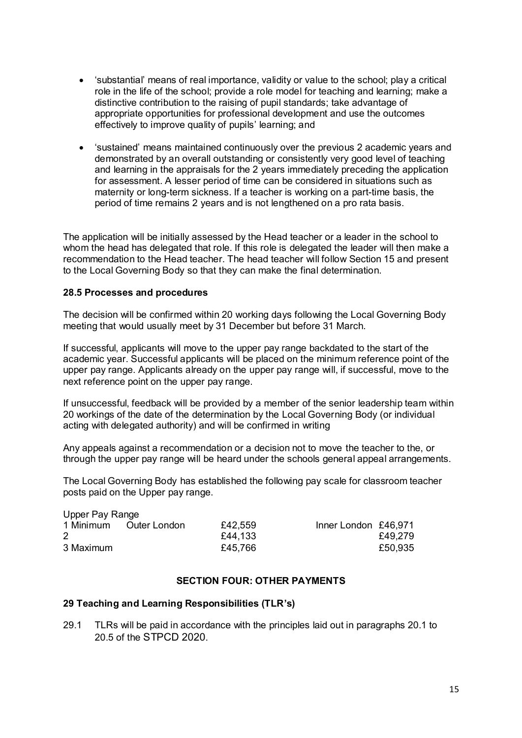- 'substantial' means of real importance, validity or value to the school; play a critical role in the life of the school; provide a role model for teaching and learning; make a distinctive contribution to the raising of pupil standards; take advantage of appropriate opportunities for professional development and use the outcomes effectively to improve quality of pupils' learning; and
- 'sustained' means maintained continuously over the previous 2 academic years and demonstrated by an overall outstanding or consistently very good level of teaching and learning in the appraisals for the 2 years immediately preceding the application for assessment. A lesser period of time can be considered in situations such as maternity or long-term sickness. If a teacher is working on a part-time basis, the period of time remains 2 years and is not lengthened on a pro rata basis.

The application will be initially assessed by the Head teacher or a leader in the school to whom the head has delegated that role. If this role is delegated the leader will then make a recommendation to the Head teacher. The head teacher will follow Section 15 and present to the Local Governing Body so that they can make the final determination.

#### **28.5 Processes and procedures**

The decision will be confirmed within 20 working days following the Local Governing Body meeting that would usually meet by 31 December but before 31 March.

If successful, applicants will move to the upper pay range backdated to the start of the academic year. Successful applicants will be placed on the minimum reference point of the upper pay range. Applicants already on the upper pay range will, if successful, move to the next reference point on the upper pay range.

If unsuccessful, feedback will be provided by a member of the senior leadership team within 20 workings of the date of the determination by the Local Governing Body (or individual acting with delegated authority) and will be confirmed in writing

Any appeals against a recommendation or a decision not to move the teacher to the, or through the upper pay range will be heard under the schools general appeal arrangements.

The Local Governing Body has established the following pay scale for classroom teacher posts paid on the Upper pay range.

| Upper Pay Range |              |         |                      |         |  |  |  |  |
|-----------------|--------------|---------|----------------------|---------|--|--|--|--|
| 1 Minimum       | Outer London | £42,559 | Inner London £46,971 |         |  |  |  |  |
|                 |              | £44,133 |                      | £49.279 |  |  |  |  |
| 3 Maximum       |              | £45,766 |                      | £50,935 |  |  |  |  |
|                 |              |         |                      |         |  |  |  |  |

#### **SECTION FOUR: OTHER PAYMENTS**

#### **29 Teaching and Learning Responsibilities (TLR's)**

29.1 TLRs will be paid in accordance with the principles laid out in paragraphs 20.1 to 20.5 of the STPCD 2020.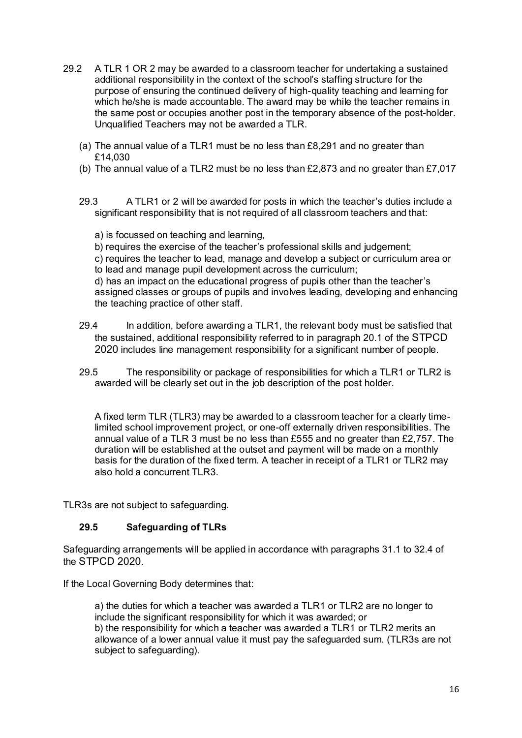- 29.2 A TLR 1 OR 2 may be awarded to a classroom teacher for undertaking a sustained additional responsibility in the context of the school's staffing structure for the purpose of ensuring the continued delivery of high-quality teaching and learning for which he/she is made accountable. The award may be while the teacher remains in the same post or occupies another post in the temporary absence of the post-holder. Unqualified Teachers may not be awarded a TLR.
	- (a) The annual value of a TLR1 must be no less than £8,291 and no greater than £14,030
	- (b) The annual value of a TLR2 must be no less than £2,873 and no greater than £7,017
	- 29.3 A TLR1 or 2 will be awarded for posts in which the teacher's duties include a significant responsibility that is not required of all classroom teachers and that:

a) is focussed on teaching and learning,

b) requires the exercise of the teacher's professional skills and judgement;

c) requires the teacher to lead, manage and develop a subject or curriculum area or to lead and manage pupil development across the curriculum;

d) has an impact on the educational progress of pupils other than the teacher's assigned classes or groups of pupils and involves leading, developing and enhancing the teaching practice of other staff.

- 29.4 In addition, before awarding a TLR1, the relevant body must be satisfied that the sustained, additional responsibility referred to in paragraph 20.1 of the STPCD 2020 includes line management responsibility for a significant number of people.
- 29.5 The responsibility or package of responsibilities for which a TLR1 or TLR2 is awarded will be clearly set out in the job description of the post holder.

A fixed term TLR (TLR3) may be awarded to a classroom teacher for a clearly timelimited school improvement project, or one-off externally driven responsibilities. The annual value of a TLR 3 must be no less than £555 and no greater than £2,757. The duration will be established at the outset and payment will be made on a monthly basis for the duration of the fixed term. A teacher in receipt of a TLR1 or TLR2 may also hold a concurrent TLR3.

TLR3s are not subject to safeguarding.

## **29.5 Safeguarding of TLRs**

Safeguarding arrangements will be applied in accordance with paragraphs 31.1 to 32.4 of the STPCD 2020.

If the Local Governing Body determines that:

a) the duties for which a teacher was awarded a TLR1 or TLR2 are no longer to include the significant responsibility for which it was awarded; or b) the responsibility for which a teacher was awarded a TLR1 or TLR2 merits an allowance of a lower annual value it must pay the safeguarded sum. (TLR3s are not subject to safeguarding).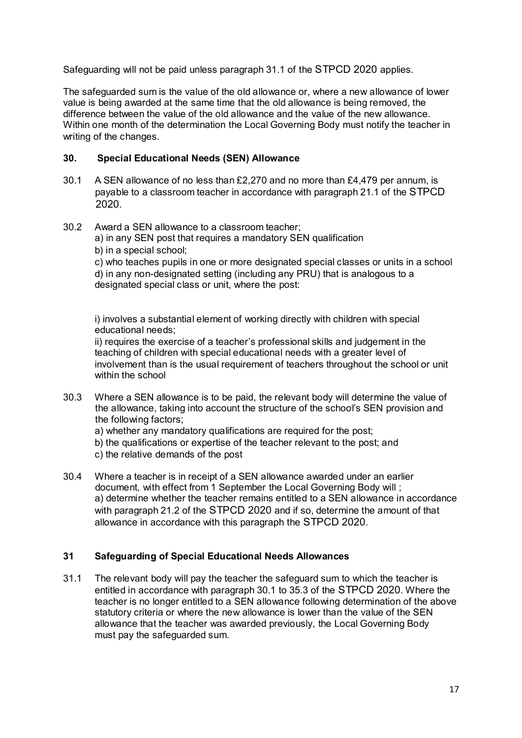Safeguarding will not be paid unless paragraph 31.1 of the STPCD 2020 applies.

The safeguarded sum is the value of the old allowance or, where a new allowance of lower value is being awarded at the same time that the old allowance is being removed, the difference between the value of the old allowance and the value of the new allowance. Within one month of the determination the Local Governing Body must notify the teacher in writing of the changes.

#### **30. Special Educational Needs (SEN) Allowance**

- 30.1 A SEN allowance of no less than £2,270 and no more than £4,479 per annum, is payable to a classroom teacher in accordance with paragraph 21.1 of the STPCD 2020.
- 30.2 Award a SEN allowance to a classroom teacher; a) in any SEN post that requires a mandatory SEN qualification
	- b) in a special school;

c) who teaches pupils in one or more designated special classes or units in a school d) in any non-designated setting (including any PRU) that is analogous to a designated special class or unit, where the post:

i) involves a substantial element of working directly with children with special educational needs;

ii) requires the exercise of a teacher's professional skills and judgement in the teaching of children with special educational needs with a greater level of involvement than is the usual requirement of teachers throughout the school or unit within the school

30.3 Where a SEN allowance is to be paid, the relevant body will determine the value of the allowance, taking into account the structure of the school's SEN provision and the following factors;

a) whether any mandatory qualifications are required for the post;

b) the qualifications or expertise of the teacher relevant to the post; and c) the relative demands of the post

30.4 Where a teacher is in receipt of a SEN allowance awarded under an earlier document, with effect from 1 September the Local Governing Body will ; a) determine whether the teacher remains entitled to a SEN allowance in accordance with paragraph 21.2 of the STPCD 2020 and if so, determine the amount of that allowance in accordance with this paragraph the STPCD 2020.

## **31 Safeguarding of Special Educational Needs Allowances**

31.1 The relevant body will pay the teacher the safeguard sum to which the teacher is entitled in accordance with paragraph 30.1 to 35.3 of the STPCD 2020. Where the teacher is no longer entitled to a SEN allowance following determination of the above statutory criteria or where the new allowance is lower than the value of the SEN allowance that the teacher was awarded previously, the Local Governing Body must pay the safeguarded sum.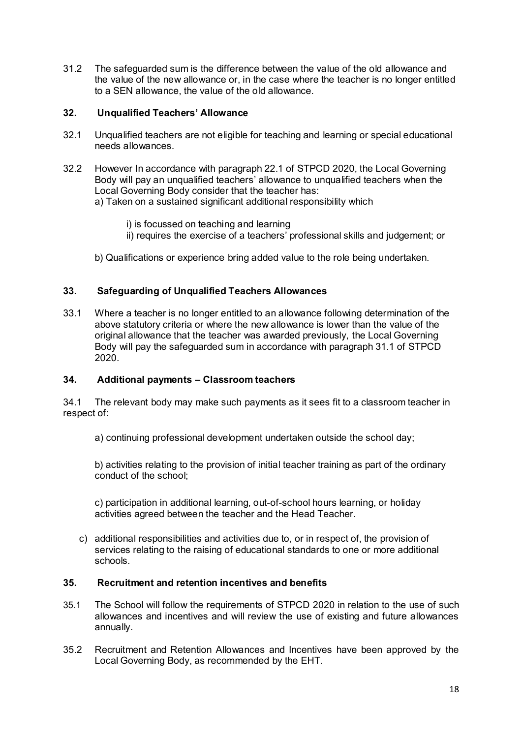31.2 The safeguarded sum is the difference between the value of the old allowance and the value of the new allowance or, in the case where the teacher is no longer entitled to a SEN allowance, the value of the old allowance.

# **32. Unqualified Teachers' Allowance**

- 32.1 Unqualified teachers are not eligible for teaching and learning or special educational needs allowances.
- 32.2 However In accordance with paragraph 22.1 of STPCD 2020, the Local Governing Body will pay an unqualified teachers' allowance to unqualified teachers when the Local Governing Body consider that the teacher has:

a) Taken on a sustained significant additional responsibility which

- i) is focussed on teaching and learning
- ii) requires the exercise of a teachers' professional skills and judgement; or
- b) Qualifications or experience bring added value to the role being undertaken.

#### **33. Safeguarding of Unqualified Teachers Allowances**

33.1 Where a teacher is no longer entitled to an allowance following determination of the above statutory criteria or where the new allowance is lower than the value of the original allowance that the teacher was awarded previously, the Local Governing Body will pay the safeguarded sum in accordance with paragraph 31.1 of STPCD 2020.

#### **34. Additional payments – Classroom teachers**

34.1 The relevant body may make such payments as it sees fit to a classroom teacher in respect of:

a) continuing professional development undertaken outside the school day;

b) activities relating to the provision of initial teacher training as part of the ordinary conduct of the school;

c) participation in additional learning, out-of-school hours learning, or holiday activities agreed between the teacher and the Head Teacher.

c) additional responsibilities and activities due to, or in respect of, the provision of services relating to the raising of educational standards to one or more additional schools.

#### **35. Recruitment and retention incentives and benefits**

- 35.1 The School will follow the requirements of STPCD 2020 in relation to the use of such allowances and incentives and will review the use of existing and future allowances annually.
- 35.2 Recruitment and Retention Allowances and Incentives have been approved by the Local Governing Body, as recommended by the EHT.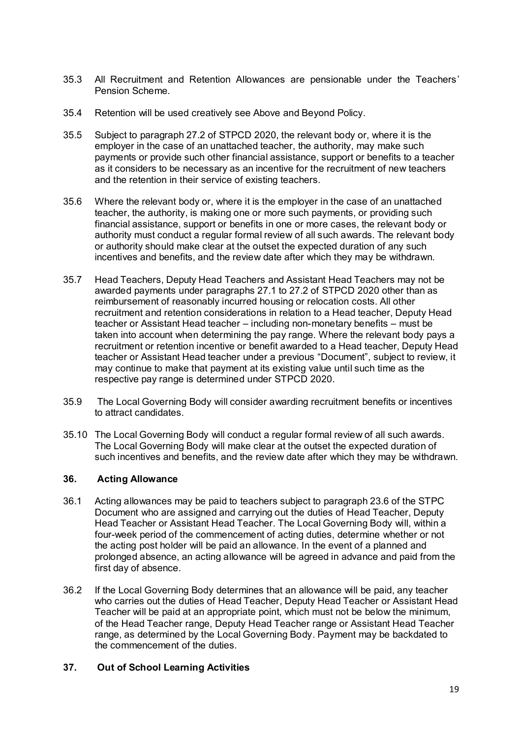- 35.3 All Recruitment and Retention Allowances are pensionable under the Teachers' Pension Scheme.
- 35.4 Retention will be used creatively see Above and Beyond Policy.
- 35.5 Subject to paragraph 27.2 of STPCD 2020, the relevant body or, where it is the employer in the case of an unattached teacher, the authority, may make such payments or provide such other financial assistance, support or benefits to a teacher as it considers to be necessary as an incentive for the recruitment of new teachers and the retention in their service of existing teachers.
- 35.6 Where the relevant body or, where it is the employer in the case of an unattached teacher, the authority, is making one or more such payments, or providing such financial assistance, support or benefits in one or more cases, the relevant body or authority must conduct a regular formal review of all such awards. The relevant body or authority should make clear at the outset the expected duration of any such incentives and benefits, and the review date after which they may be withdrawn.
- 35.7 Head Teachers, Deputy Head Teachers and Assistant Head Teachers may not be awarded payments under paragraphs 27.1 to 27.2 of STPCD 2020 other than as reimbursement of reasonably incurred housing or relocation costs. All other recruitment and retention considerations in relation to a Head teacher, Deputy Head teacher or Assistant Head teacher – including non-monetary benefits – must be taken into account when determining the pay range. Where the relevant body pays a recruitment or retention incentive or benefit awarded to a Head teacher, Deputy Head teacher or Assistant Head teacher under a previous "Document", subject to review, it may continue to make that payment at its existing value until such time as the respective pay range is determined under STPCD 2020.
- 35.9 The Local Governing Body will consider awarding recruitment benefits or incentives to attract candidates.
- 35.10 The Local Governing Body will conduct a regular formal review of all such awards. The Local Governing Body will make clear at the outset the expected duration of such incentives and benefits, and the review date after which they may be withdrawn.

#### **36. Acting Allowance**

- 36.1 Acting allowances may be paid to teachers subject to paragraph 23.6 of the STPC Document who are assigned and carrying out the duties of Head Teacher, Deputy Head Teacher or Assistant Head Teacher. The Local Governing Body will, within a four-week period of the commencement of acting duties, determine whether or not the acting post holder will be paid an allowance. In the event of a planned and prolonged absence, an acting allowance will be agreed in advance and paid from the first day of absence.
- 36.2 If the Local Governing Body determines that an allowance will be paid, any teacher who carries out the duties of Head Teacher, Deputy Head Teacher or Assistant Head Teacher will be paid at an appropriate point, which must not be below the minimum, of the Head Teacher range, Deputy Head Teacher range or Assistant Head Teacher range, as determined by the Local Governing Body. Payment may be backdated to the commencement of the duties.

#### **37. Out of School Learning Activities**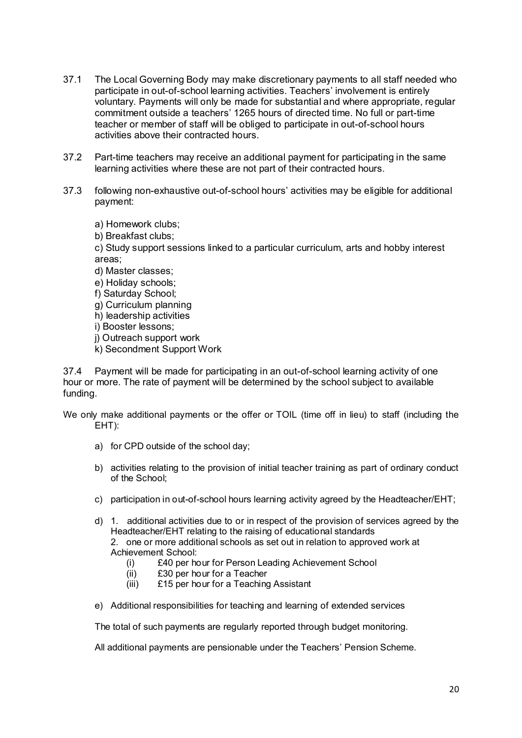- 37.1 The Local Governing Body may make discretionary payments to all staff needed who participate in out-of-school learning activities. Teachers' involvement is entirely voluntary. Payments will only be made for substantial and where appropriate, regular commitment outside a teachers' 1265 hours of directed time. No full or part-time teacher or member of staff will be obliged to participate in out-of-school hours activities above their contracted hours.
- 37.2 Part-time teachers may receive an additional payment for participating in the same learning activities where these are not part of their contracted hours.
- 37.3 following non-exhaustive out-of-school hours' activities may be eligible for additional payment:

a) Homework clubs;

b) Breakfast clubs;

c) Study support sessions linked to a particular curriculum, arts and hobby interest areas;

- d) Master classes;
- e) Holiday schools;
- f) Saturday School;
- g) Curriculum planning
- h) leadership activities
- i) Booster lessons;
- j) Outreach support work
- k) Secondment Support Work

37.4 Payment will be made for participating in an out-of-school learning activity of one hour or more. The rate of payment will be determined by the school subject to available funding.

We only make additional payments or the offer or TOIL (time off in lieu) to staff (including the EHT):

- a) for CPD outside of the school day;
- b) activities relating to the provision of initial teacher training as part of ordinary conduct of the School;
- c) participation in out-of-school hours learning activity agreed by the Headteacher/EHT;
- d) 1. additional activities due to or in respect of the provision of services agreed by the Headteacher/EHT relating to the raising of educational standards 2. one or more additional schools as set out in relation to approved work at Achievement School:
	- (i) £40 per hour for Person Leading Achievement School
	- (ii) £30 per hour for a Teacher
	- (iii) £15 per hour for a Teaching Assistant
- e) Additional responsibilities for teaching and learning of extended services

The total of such payments are regularly reported through budget monitoring.

All additional payments are pensionable under the Teachers' Pension Scheme.